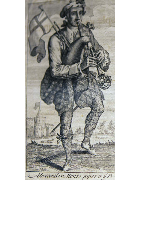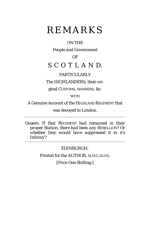# **REMARKS**

### ON THE

People *and* Government

### OF

### *SCOTLAN D.*

### PARTICULARLY

The *HIGHLANDERS*; their ori-

ginal CUSTOMS, MANNERS, *&c.*

WITH

A Genuine Account of the HIGHLAND REGIMENT that

was decoyed to *London.*

Quaere, *If that* REGIMENT *had remained in their proper Station, there had been any* REBELLION? *Or whether they would have suppressed it in it's Infancy?*

*EDINBURGH:*

Printed for the AUTHOR, M, DCC, XLVII,

[Price One Shilling.]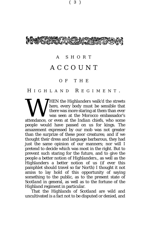

## A SHORT

### ACCOUNT

### OF THE

### H IGHLAND R EGIMENT .

HEN the *Highlanders* walk'd the streets here, every body must be sensible that there was more staring at them than ever was seen at the *Morocco* embassador's **ANDER EXECUTE IN THEN** the *Highlanders* walk'd the streets here, every body must be sensible that there was more staring at them than ever was seen at the *Morocco* embassador's attendance, or even at the *Indian* chiefs people would have passed on us for kings. The amazement expressed by our mob was not greater than the surprize of these poor creatures; and if we thought their dress and language barbarous, they had just the same opinion of our manners; nor will I pretend to decide which was most in the right. But to prevent such staring for the future, and to give the people a better notion of *Highlanders*., as well as the *Highlanders* a better notion of us (if ever this pamphlet should travel so far *North)* I thought it not amiss to lay hold of this opportunity of saying something to the public, as to the present state of *Scotland* in general, as well as to the fortune of the *Highland* regiment in particular.

That the *Highlands* of *Scotland* are wild and uncultivated is a fact not to be disputed or denied, and

( 3 )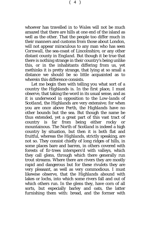whoever has travelled in to *Wales* will not be much amazed that there are hills at one end of the island as well as the other. That the people too differ much in their manners and customs from those about *London,*  will not appear miraculous to any man who has seen *Cornwall*, the sea-coast of *Lincolnshire,* or any other distant county in *England.* But though it be true that there is nothing strange in their country's being unlike this, or in the inhabitants differing from us, yet methinks it is pretty strange, that lying at so small a distance we should be so little acquainted as to wherein this difference consists.

Let me begin then with telling you what sort of a country the *Highlands* is. In the first place, I must observe, that taking the word in its usual sense, and as it is underwood in opposition to the *Low-lands* of *Scotland*, the *Highlands* are very extensive; for when you are once above *Perth*, the *Highlands* have no other bounds but the sea. But though the name be thus extended, yet a great part of this vast tract of country is far from being either rocky or mountainous. The *North* of *Scotland* is indeed a high country by situation, but then it is both flat and fruitful, whereas the *Highlands*, strictly speaking, are not so. They consist chiefly of long ridges of hills, in some places bare and barren, in others covered with forests of fir-trees interspers'd with valleys, which they call *glens,* through which there generally run trout streams. Where there are rivers they are mostly rapid and dangerous but for these rivulets they are very pleasant, as well as very commodious. I must likewise observe, that the *Highlands* abound with lakes or lochs, into which some rivers fall and out of which others run. In the *glens* they, have corn of all sorts, but especially barley and oats, the latter furnishing them with: bread, and the former with

 $(4)$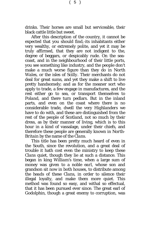drinks. Their horses are small but serviceable, their black cattle little but sweet.

After this description of the country, it cannot be expected that you should find,-its inhabitants either very wealthy, or extremely polite, and yet it may be truly affirmed, that they are not indigent to the, degree of beggars, or despicably rude. On the seacoast, and in the neighbourhood of their little ports, you see something like industry, and the people don't make a much worse figure than they do in *North Wales,* or the isles of *Scilly.* Their merchants do not deal for great sums, and yet they make a shift to live pretty handsomely; and as for the meaner sort who apply to trade, a few engage in manufactures, and the rest either go to sea, or transport themselves to *Poland,* and there turn pedlars. But in the inland parts, and even on the coast where there is no considerable trade, dwell the very *Highlanders* we have to do with, and these are distinguished from the rest of the people of *Scotland,* not so much by their dress, as by their manner of living, which is to this hour in a kind of vassalage, under their chiefs, and therefore these people are generally known in *North-Britain* by the name of the *Clans*.

This title has been pretty much heard of even in the *South*, since the revolution, and a great deal of trouble it hath cost even the ministry to keep these *Clans* quiet, though they lie at such a distance. This began in king *William's* time, when a large sum of money was given to a *noble earl*, whose son and grandson sit now in both houses, to distribute among the *heads* of these *Clans,* in order to silence their illegal loyalty, and make them more quiet. This method was found so easy, and withal so effectual, that it has been pursued ever since. The great earl of *Godolphin,* though a great enemy to corruption, was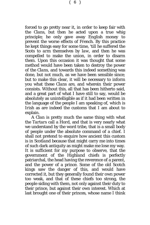( 6 )

forced to go pretty near it, in order to keep fair with the *Clans*, but then he acted upon a true whig principle; he only gave away *English money* to prevent the worse effects of *French.* By this practice he kept things easy for some time, 'till he suffered the *Scots* to *arm* themselves by *law,* and then he was compelled to make the *union*, in order to disarm them. Upon this occasion it was thought that some method would have been taken to destroy the power of *the Clans,* and towards this indeed something was done, but not much, as we have been sensible since; but to make this clear, it will be necessary to inform you what these *Clans* are, and wherein their power consists. Without this, all that has been hitherto said, and a great part of what I have still to say, would be absolutely as unintelligible as if it had been written in the language of the people I am speaking of, which is *Irish* as are indeed the customs that I am about to explain.

A *Clan* is pretty much the same thing with what the *Tartars* call a *Hord,* and that is very nearly what we understand by the word tribe, that is a small body of people under the absolute command of a chief. I shall not pretend to enquire how ancient this custom is in *Scotland* because that might carry me into times of such dark antiquity as might make me lose my way. It is sufficient for my purpose to observe, that the government of the *Highland* chiefs is perfectly patriarchal, the head having the reverence of a parent, and the power of a prince. Some of the old *Scotch* kings saw the danger of this, and would have corrected it, but they generally found their own power too weak, and that of these chiefs too strong, the people siding with them, not only against their duty to their prince, but against their own interest. Which at last brought one of their princes, whose name I think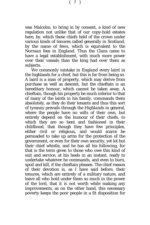was *Malcolm*, to bring in by consent, a kind of new regulation not unlike that of our copy-hold estates here, by: which these chiefs held of the crown under various kinds of tenures called generally in *Scotland,* by the name *of fews,* which is equivalent to the *Norman fees* in *England.* Thus the *Clans* came to have a legal establishment, with much more power

over their vassals than the king had over them as

subjects. We commonly mistake in *England* every laird in the highlands for a chief, but this is far from being so. A laird is a man of property, which may derive from purchase as well as descent, but the chieftain is an hereditary honour, which cannot be taken away. A chieftain, though his property be much inferior to that of many of the lairds in his family, commands them absolutely, as they do their tenants and thus this sort of tyranny prevails through the *Highlands* in general, where the people have no wills of their own, but entirely depend on the humour of their chiefs, to which they are so bent and fashioned in their childhood, that though they have few principles, either civil or religious, and would scarce be persuaded to take up arms for the protection of the government, or even for their own security, yet let but their chief whistle, and he has all his *following,* for that is the term given to those who owe this kind of suit and service, at his heels in an instant, ready to undertake whatever he commands, and even to burn, spoil and kill, if the chieftain pleases. The chief reason of their devotion is, as I have said before, their tenures, which are entirely of a military nature, and leave all who hold under them so much in the power of the lord, that it is not worth while making any improvements, as on the other hand, this necessary poverty keeps the poor people in a fit disposition for

( 7 )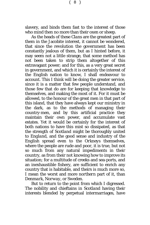slavery, and binds them fast to the interest of those who mind then no more than their oxen or sheep.

As the heads of these *Clans* are the greatest part of them in the Jacobite interest, it cannot be wondered, that since the revolution the government has been constantly jealous of them, but as I hinted before, it may seem not a little strange, that some method has not been taken to strip them altogether of this extravagant power; and for this, as a very great secret in government, and which it is certainly the interest of the *English* nation to know, I shall endeavour to account. This I think will be doing the greater service, since it is a matter that few people understand, and those few that do are for keeping that knowledge to themselves, and making the most of it. For it must be allowed, to the honour of the great men in that part of this island, that they have always kept our ministry in the dark, as to the methods of managing their country-men, and by this artificial practice they maintain their own power, and accumulate vast estates. Yet it would be certainly for the interest of both nations to have this mist so dissipated, as that the strength of *Scotland* might be thoroughly united to *England*, and the good sense and industry of the *English* spread even to the *Orkneys* themselves, where the people are rude and poor, it is true, but not so much from any natural impediments in their country, as from their not knowing how to improve its situation; for a multitude of creeks and sea-ports, and an inexhaustible fishery, are sufficient to enrich any country that is habitable, and theirs is much more so, I mean the worst and more *northern* part of it, than *Denmark*, *Norway*, or *Sweden*.

But to return to the point from which I digressed. The nobility and chieftains in *Scotland* having their interests blended by perpetual intermarriages, have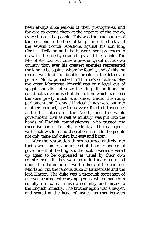been always alike jealous of their prerogatives, and forward to extend them at the expence of the crown, as well as of the people. This was the true source of the seditions in the time of king *James* the first, and the several *Scotch* rebellions against his son king *Charles.* Religion and liberty were mere pretences to draw in the presbyterian clergy and the rabble. The M-- of *A*-- was ten times a greater tyrant in his own country than ever his greatest enemies represented the king to be against whom he fought; and of this the reader will find indubitable proofs in the letters of general *Monk,* published in *Thurloe's* collection. Nay the great *Montrosse* himself was only loyal out of spight, and did not serve the king 'till he found he could not serve himself of the faction, which has been

another channel, garrisons were fixed at *Inverness* and other places in the *North*, and the whole government, civil as well as military, was put into the hands of *English* commissioners, who trusted the executive part of it chiefly to *Monk*, and he managed it with such wisdom and discretion as made the people not only tame and quiet, but easy and happy. After the restoration things returned entirely into

the case pretty much ever since. Under the rump parliament and *Cromwell* indeed things were put into

their own channel, and instead of the mild and equal government of the *English*, the *Scotch* were delivered up again to be oppressed as usual by their own countrymen, till they were so unfortunate as to fall under the dominion of two brothers of the name of *Maitland*, *viz.* the famous duke of *Lauderdale* and the lord *Hatton.* The duke was a thorough statesman of an over-bearing enterprizing genius, which made him equally formidable in his own country, and uneasy to the *English* ministry. The brother again was a lawyer, and seated at the head of justice; so that between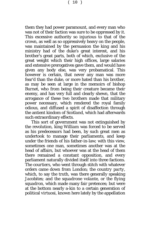them they had power paramount, and every man who was not of their faction was sure to be oppressed by it. This excessive authority so injurious to that of the crown, as well as so oppressively heavy on the people, was maintained by the persuasion the king and his ministry had of the duke's great interest, and his brother's great parts, both of which, exclusive of the great weight which their high offices, large salaries and extensive prerogatives gave them, and would have given any body else, was very probamatical. This however is certain, that never any man was more fear'd than the duke, or more hated than his brother, as may be seen at large in the memoirs of bishop *Burnet,* who from being their creature became their enemy, and has very full and clearly shewn, that the arrogance of these two brothers made that military power necessary, which rendered the royal family odious, and diffused a spirit of disaffection through the antient kindom of *Scotland,* which had afterwards such extraordinary effects.

This sort of government was not extinguished by the revolution, king *William* was forced to be served as his predecessors had been, by such great men as undertook to manage their parliaments, and keep under the friends of his father-in-law; with this view, sometimes one man, sometimes another was at the head of affairs, but whoever was at the head of them there remained a constant opposition, and every parliament naturally divided itself into three factions. The *courtiers*, who went through stitch with whatever orders came down from *London*; the *country party,* which, to say the truth, was there generally speaking *Jacobites*; and the *squadrone volante*, or the *flying squadron,* which made many fair pretences; but were at the bottom nearly a-kin to a certain generation of political *virtuosi,* known here lately by the appellation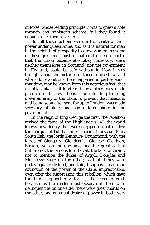of *foxes,* whose leading principle it was to gnaw a *hole* through any minister's scheme, 'till they found it enough to let *themselves in.*

But all these factions were in the zenith of their power under queen *Anne,* and as it is natural for men in the heighth of prosperity to grow wanton, so some of these great men pushed matters to such a length, that the union became absolutely necessary, since neither themselves in *Scotland*, nor the government in *England*, could be safe without it. How it was brought about the histories of those times shew, and what odd revolutions there happened in parties about that time, may be known from this notorious fact, that a noble duke, a little after it took place, was made prisoner in his own house, for intending to bring down an army of the *Clans* to prevent that measure, and being soon after sent for up to *London*, was made secretary of state, and had a large share in the government.

In the reign of king *George* the first, the rebellion revived the fame of the *Highlanders.* All the world knows how deeply they were engaged on both sides; the marquis of *Tullibardine*, the earls *Marschal, Mar*, *South Esk;* the lords *Kenmure*, *Drummond*, with the lairds of *Glengary*, *Glenderule*, *Glencoe*, *Glenlyon*, *Struan,* &c. on the one side; and the great earl of *Sutherand,* the famous lord *Lovat*, the laird of *Grant*, not to mention the dukes of *Argyll, Douglas* and *Montrosse* were on the other; so that things were pretty equally divided, and this, I suppose, made the extinction of the power of the *Clans* impracticable, even after the suppressing this rebellion, which gave the fairest opportunity for it, that ever offered, because, as the reader must observe, if there were delinquencies on one side, there were great merits on the other, and an equal desire of power in both; very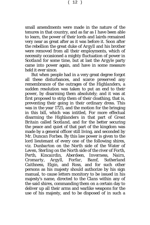$(12)$ 

small amendments were made in the nature of the tenures in that country, and as far as I have been able to learn, the power of their lords and lairds remained very near as great after as it was before it. Soon after the rebellion the great duke of *Argyll* and his brother were removed from all their employments, which of necessity occasioned a mighty fluctuation of power in *Scotland* for some time, but at last the *Argyle* party came into power again, and have in some measure held it ever since.

But when people had in a very great degree forgot all these disturbances, and scarce preserved any remembrance of the outrages of the *Highlanders*, a sudden resolution was taken to put an end to their power, by disarming them absolutely; and it was at first proposed to strip them of their cloathing, that is, preventing their going in their ordinary dress. This was in the year 1725, and the motion for the bringing in this bill, which was intitled, For more effectual disarming the *Highlanders* in that part of *Great Britain* called *Scotland*, and for the better securing the peace and quiet of that part of the kingdom was made by a general officer still living, and seconded by Mr. *Duncan Forbes.* By this law power is given to the lord lieutenant of every one of the following shires, *viz. Dunbarton* on the *North* side of the Water of *Leven, Sterling* on the *North* side of the river *of Forth*, *Perth*, *Kincairdin*, *Aberdeen*, *Inverness, Nairn, Cromarty, Argyll, Forfar, Bamf, Sutherland Caithness, Elgin,* and *Ross,* and for such other persons as his majesty should authorize by his sign manual, to cause letters monitory to be issued in his majesty's name, directed to the *Clans* within any of the said shires, commanding them on a certain day to deliver up all their arms and warlike weapons for the use of his majesty, and to be disposed of in such a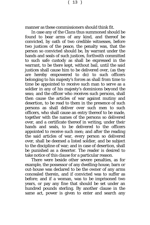manner as these commissioners should think fit.

In case any of the *Clans* thus summoned should be found to bear arms of any kind, and thereof be convicted, by oath of two credible witnesses, before two justices of the peace, the penalty was, that the person so convicted should be, by warrant under the hands and seals of such justices, forthwith committed to such safe custody as shall be expressed in the warrant, to be there kept, without bail, until the said justices shall cause him to be delivered over, (as they are hereby empowered to do) to such officers belonging to his majesty's forces as shall from time to time be appointed to receive such man to serve as a soldier in any of his majesty's dominions *beyond the seas;* and the officer who receives such persons, shall then cause the articles of war against mutiny and desertion, to be read to them in the presence of such persons as shall deliver over such men to such officers, who shall cause an entry thereof to be made, together with the names of the persons so delivered over, and a certificate thereof in writing, under their hands and seals, to be delivered to the officers appointed to receive such men; and after the reading the said articles of war, every person so delivered over, shall be deemed a listed soldier, and be subject to the discipline of war; and in case of desertion, shall be punished as a deserter. The reader is desired to take notice of this clause for a particular reason.

There were beside other severe penalties, as for example, the possessor of any dwelling-house, barn or out-house was declared to be the owner of any arms concealed therein, and if convicted was to suffer as before; and if a woman, was to be imprisoned two years, or pay any fine that should be set under an hundred pounds sterling. By another clause in the same act, power is given to enter and search any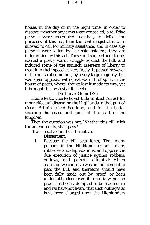$(14)$ 

house, in the day or in the night time, in order to discover whether any arms were concealed; and if five persons were assembled together, to defeat the purposes of this act, then the civil magistrates were allowed to call for military assistance; and in case any persons were killed by the said soldiers, they are indemnified by this act. These and some other clauses excited a pretty warm struggle against the bill, and induced some of the staunch asserters of liberty to treat it in their speeches very freely. It passed however in the house of commons, by a very large majority, but was again opposed with great warmth of spirit in the house of peers, where, tho' at last it made its way, yet it brought this protest at its heels.

### *Die Lunæ* 3 Maii 1725.

*Hodie tertio vice lecta est Billa* intitled, An act for more effectual disarming the *Highlands* in that part of *Great Britain* called *Scotland,* and for the better securing the peace and quiet of that part of the kingdom.

Then the question was put, Whether this bill, with the amendments, shall pass?

It was resolved in the affirmative.

*Dissentient*,

I. Because the bill sets forth, That many persons in the *Highlands* commit many robberies and depredations, and oppose the due execution of justice against robbers, outlaws, and persons attainted; which assertion we conceive was an inducement to pass the Bill, and therefore should have been fully made out by proof, or been undeniably clear from its notoriety; but no proof has been attempted to be made of it: and we have not heard that such outrages as have been charged upon the *Highlanders*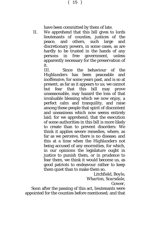have been committed by them of late.

II. We apprehend that this bill gives to lords lieutenants of counties, justices of the peace, and others, such large and discretionary powers, in some cases, as are hardly to be trusted in the hands of any persons in free government, unless apparently necessary for the preservation of it.

III. Since the behaviour of the *Highlanders* has been peaceable and inoffensive, for some years past, and is so at present, as far as it appears to us; we cannot but fear that this bill may prove unseasonable, may hazard the loss of that invaluable blessing which we now enjoy, a perfect calm and tranquility, and raise among these people that spirit of discontent and uneasiness which now seems entirely laid; for we apprehend, that the execution of some authorities in this bill is more likely to create than to prevent disorders: We think it applies severe remedies, where, as far as we perceive, there is no disease; and this at a time when the *Highlanders* not being accused of any enormities, for which, in our opinions the legislature ought in justice to punish them, or in prudence to fear them, we think it would become us, as good patriots to endeavour rather to keep them quiet than to make them so.

> *Litchfield, Boyle*, *Wharton*, *Scarsdale, Gower,*

Soon after the passing of this act, lieutenants were appointed for the counties before mentioned; and that

 $(15)$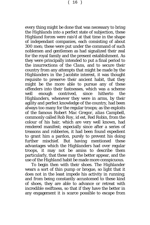every thing might be done that was necessary to bring the *Highlands* into a perfect state of subjection, these *Highland* forces were rais'd at that time in the shape of independant companies, each consisting of about 300 men; these were put under the command of such noblemen and gentlemen as had signalized their zeal for the royal family and the present establishment. As they were principally intended to put a final period to the insurrections of the *Clans*, and to secure their country from any attempts that might be made by the *Highlanders* in the Jacobite interest, it was thought requisite to preserve their ancient habit, that they might be the more able to pursue any of these offenders into their fastnesses, which was a scheme well enough contrived, since hitherto the *Highlanders*, whenever they were in arms, by their agility and perfect knowledge of the country, had been always too many for the regular troops; as the exploits of the famous *Robert Mac Gregor*, *alias Campbell*, commonly called *Rob Roy*, id est, *Red Robin*, from the colour of his hair, which are very well known, had rendered manifest; especially since after a series of treasons and robberies, it had been found expedient to grant him a pardon, purely to prevent his doing further mischief. But having mentioned these advantages which the *Highlanders* had over regular troops, it may not be amiss to describe them particularly, that these may the better appear, and the use of the *Highland* habit be made more conspicuous.

To begin then with their shoes. The *Highlander* wears a sort of thin pump or brogue, so light that it does not in the least impede his activity in running; and from being constantly accustomed to these kind of shoes, they are able to advance or retreat with incredible swiftness, so that if they have the better in any engagement it is scarce possible to escape from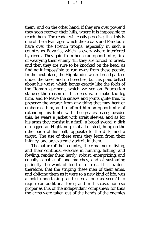them; and on the other hand, if they are over power'd they soon recover their hills, where it is impossible to reach them. The reader will easily perceive, that this is one of the advantages which the *Croats* and *Pandours* have over the *French* troops, especially in such a country as *Bavaria*, which is every where interfered by rivers. They gain from hence an opportunity, first of wearying their enemy 'till they are forced to break, and then they are sure to be knocked on the head, as finding it impossible to run away from these people. In the next place, the *Highlander* wears broad garters under the knee, and no breeches, but his plaid belted about his waist, which hangs exactly like the folds of the *Roman* garment, which we see on *Equestrian* statues; the reason of this dress is, to make the leg firm, and to leave the sinews and joints quite free, to preserve the wearer from any thing that may heat or embarrass him, and to afford him an opportunity of extending his limbs with the greatest ease; besides this, he wears a jacket with strait sleeves, and as for his arms they consist in a fuzil, a broad sword, a dirk or dagger, an *Highland* pistol all of steel, hung on the other side of his belt, opposite to the dirk, and a target. The use of these arms they learn from their infancy, and are extremely adroit in them.

The nature of their country, their manner of living, and their continual exercise in hunting, fishing, and fowling, render them hardy, robust, enterprizing, and equally capable of long marches, and of sustaining patiently the want of food or of rest. It is evident therefore, that the striping these men of their arms, and obliging them as it were to a new kind of life, was a bold undertaking, and such a one as seem'd to require an additional force; and in this case, none so proper as this of the independant companies; for thus the arms were taken out of the hands of the enemies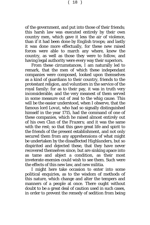of the government, and put into those of their friends; this harsh law was executed entirely by their own country men, which gave it less the air of violence, than if it had been done by *English* troops; and lastly it was done more effectually, for these new raised forces were able to march any where, knew the country, as well as those they were to follow, and having legal authority were every way their superiors.

From these circumstances, I am naturally led to remark, that the men of which these independant companies were composed, looked upon themselves as a kind of guardians to their country, friends to the protestant religion, and voluntiers in the service of the royal family: for as to their pay, it was in truth very inconsiderable, and the very meanest of them served in some measure out of zeal to the whig cause. This will be the easier understood, when I observe, that the famous lord *Lovat*, who had so signally distinguished himself in the year 1715, had the command of one of these companies, which he raised almost entirely out of his own *Clan* of the *Frazers;* and it was the same with the rest; so that this gave great life and spirit to the friends of the present establishment, and not only secured them from any apprehensions of what might be undertaken by the dissaffected *Highlanders,* but so dispirited and dejected these, that they have never recovered themselves since, but are sinking apace into as tame and abject a condition, as their most inveterate enemies could wish to see them. Such were the effects of this new law, and new militia.

I might here take occasion to enter into some political enquiries, as to the wisdom of methods of this nature, which change and alter the tempers and manners of a people at once. There ought without doubt to be a great deal of caution used in such cases, in order to prevent the remedy of sedition from being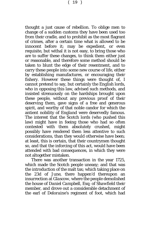thought a just cause of rebellion. To oblige men to change of a sudden customs they have been used too from their cradle, and to prohibit as the most flagrant of crimes, after a certain time what is allowed to be innocent before it; may be expedient, or even requisite, but withal it is not easy, to bring those who are to suffer these changes, to think them either just or reasonable, and therefore some method should be taken to blunt the edge of their resentment, and to carry these people into some new course of life, either by establishing manufactures, or encouraging their fishery. However these things were thought of, I cannot pretend to say, but certainly the *English* lords, who in opposing this law, advised such methods, and insisted strenuously on the hardships brought upon these people, without any previous proof of their deserving them, gave signs of a free and generous spirit, and worthy of that noble candor for which the antient nobility of *England* were deservedly famous. The interest that the *Scotch* lords (who pushed this law) might have in feeing those who had so often contested with them absolutely crushed, might possibly have rendered them less attentive to such considerations, than they would otherwise have been; at least, this is certain, that their countrymen thought so, and that the inforcing of this act, would have been attended with bad consequences, in which they were not altogether mistaken.

There was another transaction in the year 1725, which made the *Scotch* people uneasy; and that was the introduction of the malt tax; which taking place on the 23d of *June*, there happen'd thereupon an insurrection at *Glascow*, where the people demolished the house of *Daniel Campbell*, Esq; of *Shawfield* their member, and drove out a considerable detachment of the earl of *Deloraine*'s regiment of foot, which had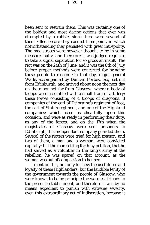$(20)$ 

been sent to restrain them. This was certainly one of the boldest and most daring actions that ever was attempted by a rabble, since there were several of them killed before they carried their point, in which notwithstanding they persisted with great intrepidity. The magistrates were however thought to be in some measure faulty, and therefore it was judged requisite to take a signal separation for so gross an insult. The riot was on the 24th of *June,* and it was the 8th of *July* before proper methods were concerted for bringing these people to reason. On that day, major-general *Wade,* accompanied by *Duncan Forbes*, Esq; set out from *Edinburgh*, and arrived about noon the next day on the moor not far from *Glascow,* where a body of troops were assembled with a small train of artillery; these forces consisting of 4 troops of dragoons, 8 companies of the earl of *Deloraine's* regiment of foot, the earl of *Stair's* regiment, and one of the *Highland* companies; which acted as chearfully upon this occasion, and were as ready in performing their duty, as any of the forces; and on the 17th when the magistrates of *Glascow* were sent prisoners to *Edinburgh*, this independant company guarded them. Several of the rioters were tried for high treason, and two of them, a man and a woman, were convicted capitally; but the man setting forth by petition, that he had served as a voluntier in the king's army at the rebellion, he was spared on that account, as the woman was out of compassion to her sex.

I mention this, not only to shew the usefulness and loyalty of these *Highlanders*, but the laudible lenity of the government towards the people of *Glascow*, who were known to be by principle the warmest friends to the present establishment; and therefore it was by no means expedient to punish with extreme severity, even this extraordinary act of indiscretion, because it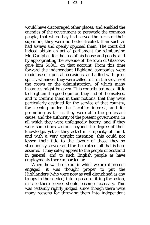would have discouraged other places; and enabled the enemies of the government to perswade the common people, that when they had served the turns of their superiors, they were no better treated, than such as had always and openly opposed them. The court did indeed obtain an act of parliament for reimbursing Mr. *Campbell* for the loss of his house and goods, and by appropriating the revenue of the town of *Glascow,* gave him 6080*l*. on that account. From this time forward the independant *Highland* companies were made use of upon all occasions, and adted with great spi.rit, whenever they were called to it in the service of the crown or the administration, of which many instances might be given. This contributed not a little to heighten the good opinion they had of themselves, and to confirm them in their notions, that they were particularly destined for the service of that country, for keeping under the *Jacobite* interest, and for promoting as far as they were able the protestant cause, and the authority of the present government, in all which they were unfeignedly hearty; and if they were sometimes zealous beyond the degree of their knowledge, yet as they acted in simplicity of mind, and with a very upright intention, this could not lessen their title to the favour of those they so strenuously served; and for the truth of all that is here asserted, I may safely appeal to the people of *Scotland* in general, and to such *English* people as have employments there in particular.

When the war broke out in which we are at present engaged, it was thought proper to put the *Highlanders* (who were now as well disciplined as any troops in the service) into a posture fitting for action, in case there service should become necessary. This was certainly rightly judged, since though there were many reasons for throwing them into independant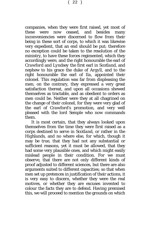companies, when they were first raised, yet most of these were now ceased, and besides many inconveniencies were discerned to flow from their being in these sort of corps, to which it was likewise very expedient, that an end should be put; therefore no exception could be taken to the resolution of the ministry, to have these forces regimented, which they accordingly were, and the right honourable the earl of *Crawford* and *Lyndsey* the first earl in *Scotland*, and nephew to his grace the duke of *Argyll,* and to the right honourable the earl of *Ila*, appointed their colonel. This regulation was far from displeasing the men; on the contrary, they expressed a very great satisfaction thereat, and upon all occasions shewed themselves as tractable, and as obedient to orders as men could be. Neither were they at all chagrined on the change of their colonel, for they were very glad of the earl of *Crawford*'s promotion, and very well pleased with the lord *Semple* who now commands them.

It is most certain, that they always looked upon themselves from the time they were first raised as a corps destined to serve in *Scotland*, or rather in the *Highlands*, and no where else, for which, though it may be true, that they had not any substantial or sufficient reasons, yet it must be allowed, that they had some very plausible ones, and which might easily mislead people in their condition. For we must observe, that there are not only different kinds of proof adjusted to different sciences, but there are also arguments suited to different capacities; so that when men set up pretences in justification of their actions, it is very easy to discern, whether they were the real motives, or whether they are excuses invented to colour the facts they are to defend. Having premised this, we will proceed to mention the grounds on which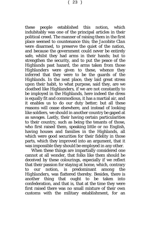these people established this notion, which indubitably was one of the principal articles in their political creed. The manner of raising them in the first place seemed to countenance this; the *Jacobite Clan* were disarmed, to preserve the quiet of the nation, and because the government could never be entirely safe, whilst they had arms in their hands; but to strengthen the security, and to put the peace of the *Highlands* past hazard, the arms taken from those *Highlanders* were given to these, whence they inferred that they were to be the guards of the *Highlands.* In the next place, they laid great stress upon their habit, to what purpose, said they, are we cloathed like *Highlanders*, if we are not constantly to be imployed in the *Highlands,* here indeed the dress is equally fit and commodious, it has a martial air, and it enables us to do our duty better; but all these reasons will cease elsewhere, and instead of looking like soldiers, we should in another country be gaped at as savages. Lastly, their having certain particularities to their country, such as being the tenants of those, who first raised them, speaking little or no *English,* having houses and families in the *Highlands*, all which were good securities for their fidelity in those parts, which they improved into an argument, that it was impossible they should be employed in any other.

When these things are impartially considered one cannot at all wonder, that folks like them should be deceived by these colourings, especially if we reflect that their passion for staying at home, which, contrary to our notion, is predominant among the *Highlanders*, was flattered thereby. Besides, there is another thing that ought to be taken into confederation, and that is, that at the time they were first raised there was no small mixture of their own customs with the military establishment, for an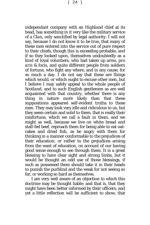independant company with an *Highland* chief at its head, has something in it very like the military service of a *Clan,* only sanctified by legal authority. I will not say, because I do not know it to be true, that many of these men entered into the service out of pure respect to their chiefs, though this is exceeding probable, and if so they looked upon, themselves undoubtedly as a kind of loyal voluntiers, who had taken up arms, *pro aris & focis*, and quite different people from soldiers of fortune, who fight any where, and in any cause, for so much a day. I do not say that these are things which would, or which ought to excuse other men, but I believe I may safely appeal to the whole people of *Scotland,* and to such *English* gentlemen as are well acquainted with that country, whether there is any thing in nature more likely than that these suppositions appeared self-evident truths to these men. They may look very idle and ridiculous to us, but they seem certain and solid to them, that is really their misfortune, which we call a fault in them, and we might as well, because we live on white bread and stall-fed beef, reproach them for being able to eat oatcakes and dried fish, as be angry with them for thinking in a manner conformable to the prejudices of their education; or rather to the prejudices arising from the want of education, on account of our having good sense enough to see through them. It is a great blessing to have clear sight and strong limbs, but it would be thought an odd use of those blessings, if such as possessed them should take it in their heads to punish the purblind and the weak for not seeing so far, or working so hard as themselves.

I am very well aware of an objection to which this doctrine may be thought liable; and that is, that they might have been better informed by their officers; and yet a little reflection will be sufficient to show, that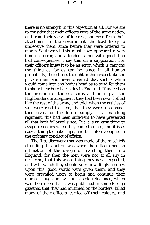there is no strength in this objection at all. For we are to consider that their officers were of the same nation, and from their views of interest, and even from their attachment to the government, the least likely to undeceive them, since before they were ordered to march *Southward,* this must have appeared a very innocent error, and attended rather with good than bad consequences. I say this on a supposition that their officers knew it to be an error, which is carrying the thing as far as can be, since in all human probability, the officers thought in this respect like the private men, and never dream'd that such a whim would come into any body's head as to send for them to show their bare backsides in *England.* If indeed on the breaking of the old corps and uniting all the *Highlanders* in a regiment, they had been new clothed like the rest of the army, and told, when the articles of war were read to them, that they were to consider themselves for the future simply as a marching regiment, this had been sufficient to have prevented all that hath followed since. But it is an easy thing to assign remedies when they come too late, and it is as easy a thing to make slips, and fall into oversights in the ordinary conduct of affairs.

The first discovery that was made of the mischiefs attending this notion was when the officers had an intimation of the design of marching them into *England*, for then the men were not at all shy in declaring, that this was a thing they never expected, and with which they should very unwillingly comply. Upon this, good words were given them, and they were prevailed upon to begin and continue their march, though not without visible reluctance, which was the reason that it was published in some foreign gazettes, that they had mutinied on the borders, killed many of their officers, carried off their colours, and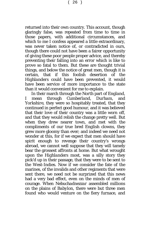$(26)$ 

returned into their own country. This account, though glaringly false, was repeated from time to time in those papers, with additional circumstances, and which to me I confess appeared a little extraordinary, was never taken notice of, or contradicted in ours, though there could not have been a fairer opportunity of giving these poor people proper advice, and thereby preventing their falling into an error which is like to prove so fatal to them. But these are thought trivial things, and below the notice of great men, though it is certain, that if this foolish desertion of the *Highlanders* could have been prevented, it would have been service of more importance to the state than it would convenient for me to explain.

In their march through the *North* part of *England,* I mean through *Cumberland*, *Durham*, and *Yorkshire,* they were so hospitably treated, that they continued in perfect good humour, and it was believed that their love of their country was a little worn off, and that they would relish the change pretty well. But when they drew nearer town, and met with the compliments of our true bred *English* clowns, they grew more gloomy than ever; and indeed we need not wonder at this, for if we expect that men should have spirit enough to revenge their country's wrongs abroad, we cannot well suppose that they will tamely bear the grossest affronts at home. But what wrought upon the *Highlanders* most, was a silly story they pick'd up in their passage, that they were to be sent to the *West-Indies.* Now if we consider the fate of the marines, of the invalids and other regiments that were sent there, we need not be surprized that this news had a very bad effect, even on the minds of men of courage. When *Nebuchadnezzar* assembled millions on the plains of *Babylon*, there were but three men found who would venture on the fiery furnace, and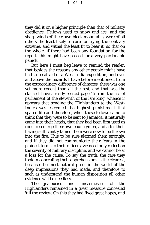$(27)$ 

they did it on a higher principle than that of military obedience. Fellows used to snow and ice, and the sharp winds of their own bleak mountains, were of all others the least likely to care for trying the contrary extreme, and withal the least fit to bear it; so that on the whole, if there had been any foundation for the report, this might have passed for a very pardonable panick.

But here I must beg leave to remind the reader, that besides the reasons any other people might have had to be afraid of a *West-India* expedition, and over and above the hazards I have before mentioned, from the extraordinary difference of climates, there was one yet more cogent than all the rest, and that was the clause I have already recited page 15 from the act of parliament of the eleventh of the late king; whence it appears that sending the *Highlanders* to the *West-Indies* was esteemed the highest punishment that spared life and therefore, when these fellows came to think that they were to be sent to *Jamaica*, it naturally came into their heads, that they had been first used as rods to scourge their own countrymen, and after their having sufficiently tamed them were now to be thrown into the fire. This to be sure alarmed them strongly, and if they did not communicate their fears in the plainest terms to their officers, we need only reflect on the severity of military discipline, and we cannot be at a loss for the cause. To say the truth, the care they took in concealing their apprehensions is the clearest, because the most natural proof in the world of the deep impressions they had made, and therefore to such as understand the human disposition all other evidence will be needless.

The jealousies and uneasinesses of the *Highlanders* remained in a great measure concealed 'till the review. On this they had fixed great hopes, and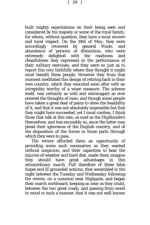built mighty expectations on their being seen and considered by his majesty or some of the royal family, for whom, without question, they have a most sincere and loyal respect. On the 14th of *May,* they were accordingly reviewed by general *Wade,* and abundance of persons of distinction, who were extremely delighted with the readiness and chearfulness they expressed in the performance of their military exercises, and they were so just as to report this very faithfully where they thought it might most benefit these people. However they from that moment meditated this design of retiring back to their own country, which they executed soon after with an intrepidity worthy of a wiser measure. The scheme itself, was certainly as wild and extravagant as ever entered the thoughts of man; and though some people have taken a great deal of pains to shew the feasibility of it, and that it was not absolutely impossible but that they might have succeeded, yet I must confess, I think those that talk at this rate, as mad as the *Highlanders* themselves; and less excusably so, since the latter may plead their ignorance of the *English* country, and of the disposition of the forces in those parts through which they were to pass.

The review afforded them an opportunity of providing some such necessaries as they wanted without suspicion; and their capacities to bear the injuries of weather and hard diet, made them imagine they should have great advantages in this extraordinary march. Full therefore of these false hopes and ill grounded notions, they assembled in the night between the *Tuesday* and *Wednesday* following the review, on a common near *Highgate*, and began their march northward, keeping as near as they could, between the two great roads, and passing from wood to wood in such a manner, that it was not well known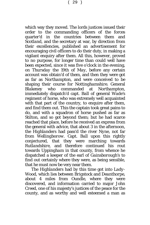which way they moved. The lords justices issued their order to the commanding officers of the forces quarter'd in the countries between them and *Scotland,* and the secretary at war, by direction from their excellencies, published an advertisement for encouraging civil officers to do their duty, in making a vigilant enquiry after them. All this, however, proved to no purpose, for longer time than could well have been expected, since it was five o'clock in the evening, on *Thursday* the 19th of *May,* before any certain account was obtain'd of them, and then they were got as far as *Northampton*, and were conceived to be shaping their course for *Nottinghamshire*. General *Blakeney* who commanded at *Northampton,* immediately dispatch'd capt. *Ball* of general *Wade's* regiment of horse, who was extremely well acquainted with that part of the country, to enquire after them, and find them out. This the captain took great pains to do, and with a squadron of horse pushed as far as *Stilton*, and so got beyond them; but he had scarce reached that place, before he received an express from the general with advice, that about 3 in the afternoon, the *Highlanders* had pass'd the river *Nyne,* not far from *Wellingborow*. Capt. *Ball* upon this rightly conjectured, that they were marching towards *Rutlandshire*, and therefore continued his rout towards *Uppingham* in that county, from whence he dispatched a keeper of the earl of *Gainsborough'*s to find out certainly where they were, as being sensible, that he must now be very near them.

The *Highlanders* had by this time got into *Lady-Wood*, which lies between *Brigstock* and *Deanthorpe*, about 4 miles from *Oundle*, where they were discovered, and information carried to major *John Creed,* one of his majesty's justices of the peace for the county, and as worthy and well esteemed a man as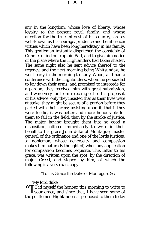$(30)$ 

any in the kingdom, whose love of liberty, whose loyalty to the present royal family, and whose affection for the true interest of his country, are as well-known as his courage, prudence and benificence; virtues which have been long hereditary in his family. This gentleman instantly dispatched the constable of *Oundle* to find out captain *Ball*, and to give him notice of the place where the *Highlanders* had taken shelter. The same night also he sent advice thereof to the regency, and the next morning being *Whitsunday*, he went early in the morning to *Lady-Wood,* and had a conference with the *Highlanders,* whom he persuaded to lay down their arms, and promised to intercede for a pardon; they received him with great submission, and were very far from rejecting either his proposal, or his advice, only they insisted that as their lives were at stake, they might be secure of a pardon before they parted with their arms; insisting upon it, that if they were to die, it was better and more honourable for them to fall in the field, than by the stroke of justice. The major having brought them into so good a disposition, offered immediately to write in their behalf to his grace *John* duke *of Montague,* master general of the ordinance and one of the lords justices; .a nobleman, whose generosity and compassion makes him naturally thought of, when any application for compassion becomes requisite. This letter to his grace, was written upon the spot, by the direction of major *Creed*, and signed by him, of which the following is a very exact copy.

*"To his Grace the Duke of* Montague, &c.

"My lord duke,

 $\begin{array}{c} \n\text{66} \\ \n\text{Four grace, and since that, I have seen some of the complementary *Uizklardus*.$ **Lyour grace, and since that, I have seen some of** the gentlemen *Highlanders.* I proposed to them to lay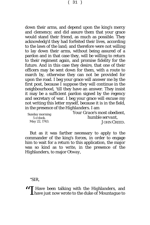down their arms, and depend upon the king's mercy and clemency; and did assure them that your grace would stand their friend, as much as possible. They acknowledg'd they had forfeited their lives, according to the laws of the land; and therefore were not willing to lay down their arms, without being assured of a pardon and in that case they, will be willing to return to their regiment again, and promise fidelity for the future. And in this case they desire, that one of their officers may be sent down for them, with a route to march by, otherwise they can not be provided for upon the road. I beg your grace will answer me by the first post, because I suppose they will continue in the neighbourhood, 'till they have an answer. They insist it may be a sufficient pardon signed by the regency and secretary of war. I beg your grace will excuse my not writing this letter myself, because it is in the field, in the presence of the *Highlanders.* I am

| Sunday morning | Your Grace's most obedient, |
|----------------|-----------------------------|
| 5 o'clock.     | humble servant,             |
| May 22, 1743.  | <b>JOHN CREED.</b>          |

But as it was farther necessary to apply to the commander of the king's forces, in order to engage him to wait for a return to this application, the major was so kind as to write, in the presence of the *Highlanders,* to major *Otway,*

"SIR,

Have been talking with the *Highlanders,* and **L** have just now wrote to the duke of *Mountague* to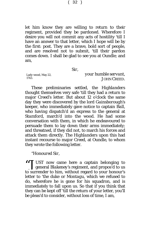( 32 )

let him know they are willing to return to their regiment, provided they be pardoned. Wherefore I desire you will not commit any acts of hostility 'till I have an answer to that letter, which I hope will be by the first: post. They are a brave, bold sort of people, and are resolved not to submit, 'till their pardon comes down. I shall be glad to see you at *Oundle*; and am,

#### *Sir,*

Lady-wood, May 22, 1743*.*

*your humble servant*, JOHN CREED.

These preliminaries settled, the *Highlanders* thought themselves very safe 'till they had a return to major *Creed's* letter. But about 12 o'clock the same day they were discovered by the lord *Gainsborough's* keeper, who immediately gave notice to captain *Ball,*  who having dispatch'd an express to the general at *Stamford,* march'd into the wood. He had some conversation with them, in which he endeavoured to persuade them to lay down their arms immediately; and threatned, if they did not, to march his forces and attack them directly. The *Highlanders* upon this had instant recourse to major *Creed,* at *Oundle,* to whom they wrote the following letter.

"*Honoured Sir*,

" JUST now came here a captain belonging to general *Blakeney's* regiment, and propos'd to us **J** general *Blakeney's* regiment, and propos'd to us to surrender to him, without regard to your honour's letter to 'the duke or *Montagu,* which we refused to do, wherefore he is gone for his squadron, and is immediately to fall upon us. So that if you think that they can be kept off 'till the return of your letter, you'll be pleas'd to consider, without loss of time, I am,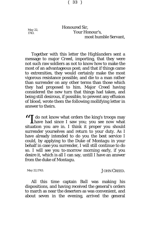( 33 )

*May 22, 1743.*

Honoured Sir*,* Your Honour's, most humble Servant*,*

Together with this letter the *Highlanders* sent a message to major *Creed*, importing, that they were not such raw soldiers as not to know how to make the most of an advantageous post; and that if things came to extremities, they would certainly make the most vigorous resistance possible, and die to a man rather than surrender on any other terms than those which they had proposed to him. Major *Creed* having considered the new turn that things had taken, and being still desirous, if possible, to prevent any effusion of blood, wrote them the following mollifying letter in answer to theirs.

 $\bigcup_{n=1}^{\infty}$  do not know what orders the king's troops may have had since I saw you; you see now what **L**have had since I saw you; you see now what situation you are in. I think it proper you should surrender yourselves and return to your duty. As I have already intended to do you the best service I could, by applying to the Duke of *Montagu* in your behalf in case you surrender, I will still continue to do so. I will see you to-morrow morning early, if you desire it, which is all I can say, untill I have an answer from the duke of *Montagu.*

*May* 22*,*1743.

JOHN CREED.

All this time captain *Ball* was making his dispositions, and having received the general's orders to march as near the deserters as was convenient, and about seven in the evening, arrived the general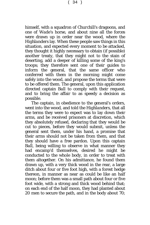himself, with a squadron of *Churchill's* dragoons, and one of *Wade*'s horse, and about nine all the forces were drawn up in order near the wood, where the *Highlanders* lay. When these people saw things in this situation, and expected every moment to be attacked, they thought it highly necessary to obtain (if possible) another treaty, that they might not to the stain of deserting, add a deeper of killing some of the king's troops; they therefore sent one of their guides to inform the general, that the same officer who conferred with them in the morning might come safely into the wood, and propose the terms that were to be offered them. The general, upon this application directed captain *Ball* to comply with their request, and to bring the affair to as speedy a decision as possible.

The captain, in obedience to the general's orders, went into the wood, and told the *Highlanders*, that all the terms they were to expect was to lay down their arms, and be received prisoners at discretion, which they absolutely refused, declaring that they would be cut to pieces, before they would submit, unless the general sent them, under his hand, a promise that their arms should not be taken from them, and that they should have a free pardon. Upon this captain *Ball,* being willing to observe in what manner they had encamp'd themselves, desired he might be conducted to the whole body, in order to treat with them altogether. On his admittance, he found them drawn up, with a very thick wood in the rear, a large ditch about four or five foot high, with a forest hedge thereon, in manner as near as could be like an half moon; before them was a small path about four or five foot wide, with a strong and thick wood behind that; on each end of the half moon, they had planted about 20 men to secure the path, and in the body about 70;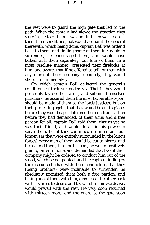( 35 )

the rest were to guard the high gate that led to the path. When the captain had view'd the situation they were in, he told them it was not in his power to grant them their conditions, but would acquaint the general therewith; which being done, captain *Ball* was order'd back to them, and finding some of them inclinable to surrender, he encouraged them, and would have talked with them separately, but four of them, in a most resolute manner, presented their firelocks at him, and swore, that if he offered to talk or treat with any more of their company separately, they would shoot him immediately.

On which captain *Ball* delivered the general's conditions of their surrender, *viz.* That if they would peaceably lay do their arms, and submit themselves prisoners, he assured them the most favourable report should be made of them to the lords justices: but on their protesting again, that they would be cut to pieces before they would capitulate on other conditions, than before they had demanded, of their arms and a free pardon for all, captain *Ball* told them, that as yet he was their friend, and would do all in his power to serve them, but if they continued obstinate an hour longer, (as they were entirely surrounded by the king's forces) every man of them would be cut to pieces; and he assured them, that for his part, he would positively grant quarter to none, and demanded that two of their company might be ordered to conduct him out of the wood, which being granted, and the captain finding by the discourse he had with these conductors, that they (being brothers) were inclinable to surrender, he absolutely promised them both a free pardon, and taking one of them with him, dismissed the other back with his arms to desire and try whether fair words, *&c.*  would prevail with the rest. He very soon returned with thirteen more, and the guard at the gate soon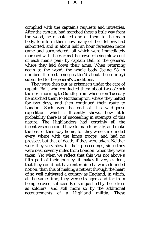( 36 )

complied with the captain's requests and intreaties. After the captain, had marched these a little way from the wood, he dispatched one of them to the main body, to inform them how many of their fellows had submitted, and in about half an hour feventeen more came and surrendered; all which were immediately marched with their arms (the powder being blown out of each man's pan) by captain *Ball* to the general, where they laid down their arms. When returning again to the wood, the whole body (being 98 in number, the rest being scatter'd about the country) submitted to the general's conditions.

They were then put as prisoner's under the care of captain *Ball*, who conducted them about two o'clock the next morning to *Oundle,* from whence on *Tuesday* he marched them to *Northampton*, where they halted for two days, and then continued their route to *London.* Such was the end of this wild-goose expedition, which sufficiently shews, how little probability there is of succeeding in attempts of this nature. The *Highlanders* had certainly all the incentives men could have to march briskly, and make the best of their way home, for they were surrounded every where with the kings troops, and had no prospect but that of death, if they were taken. Neither were they very slow in their proceedings, since they were near seventy miles from *London*, when they were taken. Yet when we reflect that this was not above a fifth part of their journey, it makes it very evident, that they could not have entertained a worse founded notion, than this of making a retreat through the heart of so well cultivated a country as *England,* in which, at the same time, they were strangers and far from being beloved, sufficiently distinguished by their dress as soldiers, and still more so by the additional accoutrements of a *Highland* militia. These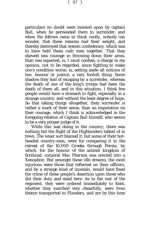particulars no doubt were insisted upon by captain *Ball,* when he perswaded them to surrender, and when the fellows came to think coolly, nobody can wonder, that these reasons had their weight, and thereby destroyed that system confederacy, which was to have held these rash men together. That they shewed less courage in throwing down their arms, than was expected, is, I must confess, a charge in my opinion, not to be regarded, since fighting to make one's condition worse, is, setting aside all notions of law, honour or justice, a very foolish thing. Some shadow they had of escaping by a surrender, whereas the death of one of the king's troops had been the death of them all, and in this situation, I think few people would have a stomach to fight, especially in a strange country, and without the least degree of hope. So that taking things altogether, their surrender is rather a mark of their sense, than an imputation on their courage, which I think is acknowledged in the foregoing relation of Captain *Ball* himself, who seems to be a very proper judge of it.

While this was doing in the country, there was nothing but the flight of the *Highlanders* talked of in town. The wiser sort blamed it, but some of their hotheaded country-men, were for comparing it to the retreat of the 10,000 *Greeks* through *Persia*, by which, for the honour of the antient kingdom of *Scotland,* corporal *Mac Pherson* was erected into a *Xenophon.* But amongst these idle dreams, the most injurious were those that reflected on their officers, and by a strange kind of *inuendo*, would have fixed the crime of these people's desertion upon those who did their duty and staid here. As to the rest of the regiment, they were ordered immediately to *Kent*, whether they marched very chearfully, were from thence transported to *Flanders,* and are by this time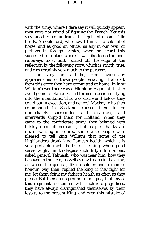with the army, where I dare say it will quickly appear, they were not afraid of fighting the *French.* Yet this was another conundrum that got into some idle heads. A noble lord, who now I think is a colonel of horse, and as good an officer as any in our own, or perhaps in foreign armies, when he heard this suggested in a place where it was like to do the poor runaways most hurt, turned off the edge of the reflection by the following story, which is strictly true, and was certainly very much to the purpose.

I am very far, said he, from having any apprehensions of these people behaving ill abroad, from this error they have committed at home. In king *William'*s war there was a *Highland* regiment, that to avoid going to *Flanders,* had formed a design of flying into the mountains. This was discover'd before they could put in execution, and general *Mackay,* who then commanded in *Scotland*, caused them to be immediately surrounded and disarmed, and afterwards shipp'd them for *Holland.* When they came to the confederate army, they behaved very briskly upon all occasions; but as pick-thanks are never wanting in courts, some wise people were pleased to tell king *William* that some of the *Highlanders* drank king *James's* health, which it is very probable might be true. The king, whose good sense taught him to despise such dirty informations, asked general *Talmash*, who was near him, how they behaved in the field; as well as any troops in the army, answered the general, like a soldier and a man of honour; why then, replied the king, if they fight for me, let them drink my father's health as often as they please. But there is no ground to imagine, that any of this regiment are tainted with such idle prejudices, they have always distinguished themselves by their loyalty to the present King, and even this mistake of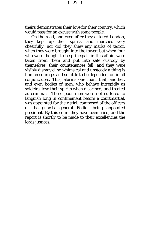theirs demonstrates their love for their country, which would pass for an excuse with some people.

On the road, and even after they entered *London*, they kept up their spirits, and marched very chearfully, nor did they shew any marks of terror, when they were brought into the tower: but when four who were thought to be principals in this affair, were taken from them and put into safe custody by themselves, their countenances fell, and they were visibly dismay'd; so whimsical and unsteady a thing is human courage, and so little to be depended, on in all conjunctures. This, alarms one man, that, another, and even bodies of men, who behave intrepidly as soldeirs, lose their spirits when disarmed; and treated as criminals. These poor men were not suffered to languish long in confinement before a courtmartial. was appointed for their trial, composed of the officers of the guards, general *Folliot* being appointed president. By this court they have been tried, and the report is shortly to be made to their excellencies the lords justices.